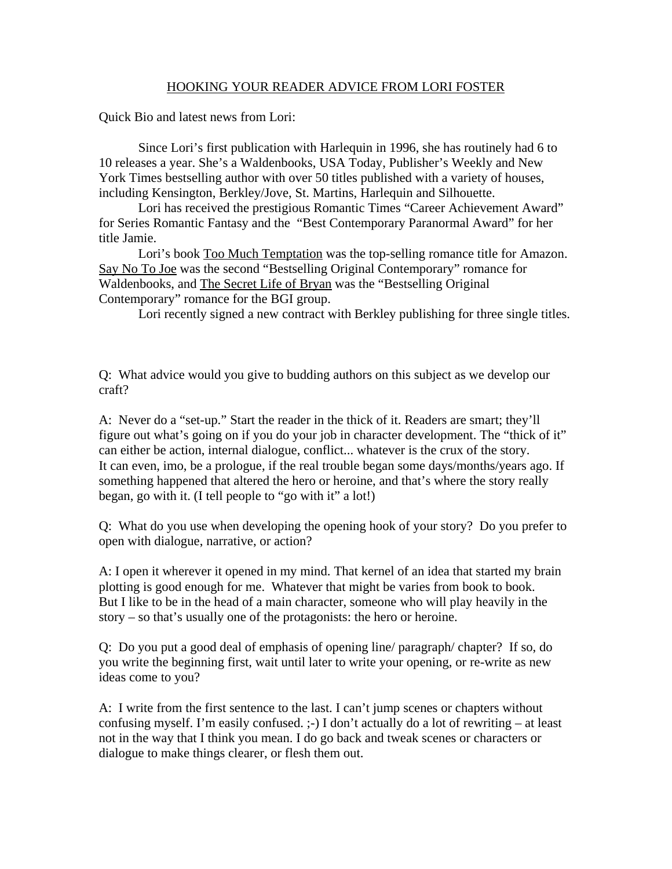## HOOKING YOUR READER ADVICE FROM LORI FOSTER

Quick Bio and latest news from Lori:

Since Lori's first publication with Harlequin in 1996, she has routinely had 6 to 10 releases a year. She's a Waldenbooks, USA Today, Publisher's Weekly and New York Times bestselling author with over 50 titles published with a variety of houses, including Kensington, Berkley/Jove, St. Martins, Harlequin and Silhouette.

Lori has received the prestigious Romantic Times "Career Achievement Award" for Series Romantic Fantasy and the "Best Contemporary Paranormal Award" for her title Jamie.

Lori's book <u>Too Much Temptation</u> was the top-selling romance title for Amazon. Say No To Joe was the second "Bestselling Original Contemporary" romance for Waldenbooks, and The Secret Life of Bryan was the "Bestselling Original Contemporary" romance for the BGI group.

Lori recently signed a new contract with Berkley publishing for three single titles.

Q: What advice would you give to budding authors on this subject as we develop our craft?

A: Never do a "set-up." Start the reader in the thick of it. Readers are smart; they'll figure out what's going on if you do your job in character development. The "thick of it" can either be action, internal dialogue, conflict... whatever is the crux of the story. It can even, imo, be a prologue, if the real trouble began some days/months/years ago. If something happened that altered the hero or heroine, and that's where the story really began, go with it. (I tell people to "go with it" a lot!)

Q: What do you use when developing the opening hook of your story? Do you prefer to open with dialogue, narrative, or action?

A: I open it wherever it opened in my mind. That kernel of an idea that started my brain plotting is good enough for me. Whatever that might be varies from book to book. But I like to be in the head of a main character, someone who will play heavily in the story – so that's usually one of the protagonists: the hero or heroine.

Q: Do you put a good deal of emphasis of opening line/ paragraph/ chapter? If so, do you write the beginning first, wait until later to write your opening, or re-write as new ideas come to you?

A: I write from the first sentence to the last. I can't jump scenes or chapters without confusing myself. I'm easily confused.  $;-$ ) I don't actually do a lot of rewriting – at least not in the way that I think you mean. I do go back and tweak scenes or characters or dialogue to make things clearer, or flesh them out.